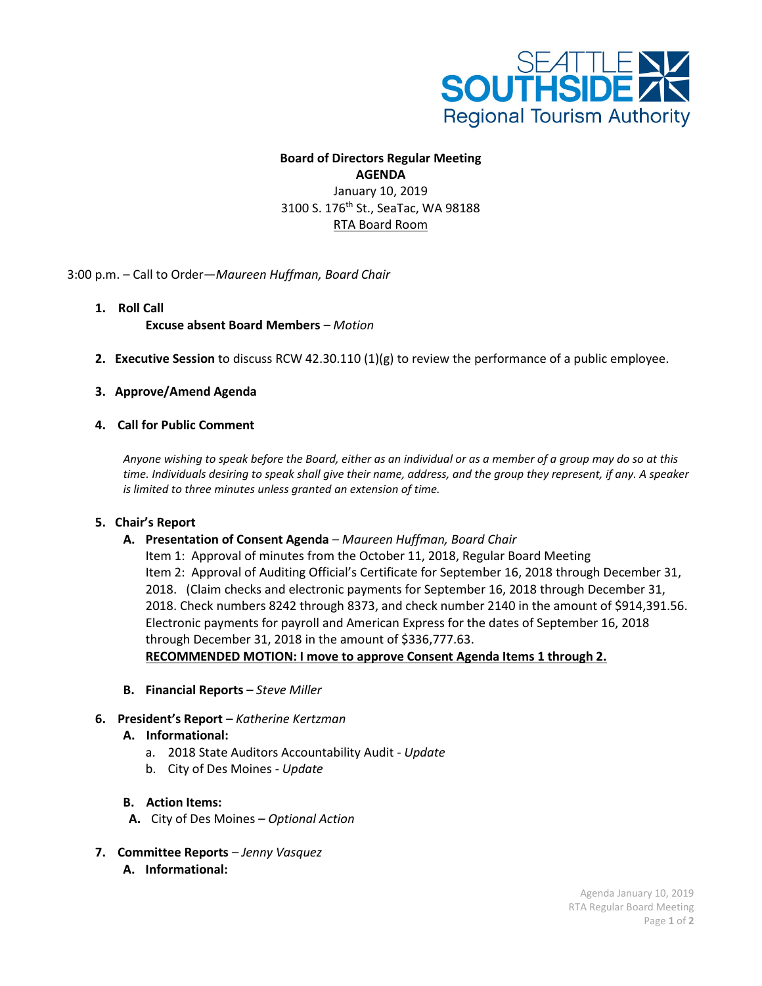

#### **Board of Directors Regular Meeting AGENDA**

January 10, 2019 3100 S. 176<sup>th</sup> St., SeaTac, WA 98188 RTA Board Room

3:00 p.m. – Call to Order—*Maureen Huffman, Board Chair*

**1. Roll Call**

**Excuse absent Board Members** *– Motion*

**2. Executive Session** to discuss RCW 42.30.110 (1)(g) to review the performance of a public employee.

### **3. Approve/Amend Agenda**

### **4. Call for Public Comment**

*Anyone wishing to speak before the Board, either as an individual or as a member of a group may do so at this time. Individuals desiring to speak shall give their name, address, and the group they represent, if any. A speaker is limited to three minutes unless granted an extension of time.*

### **5. Chair's Report**

### **A. Presentation of Consent Agenda** *– Maureen Huffman, Board Chair*

Item 1: Approval of minutes from the October 11, 2018, Regular Board Meeting Item 2: Approval of Auditing Official's Certificate for September 16, 2018 through December 31, 2018. (Claim checks and electronic payments for September 16, 2018 through December 31, 2018. Check numbers 8242 through 8373, and check number 2140 in the amount of \$914,391.56. Electronic payments for payroll and American Express for the dates of September 16, 2018 through December 31, 2018 in the amount of \$336,777.63. **RECOMMENDED MOTION: I move to approve Consent Agenda Items 1 through 2.**

- **B. Financial Reports** *– Steve Miller*
- **6. President's Report** *– Katherine Kertzman*
	- **A. Informational:**
		- a. 2018 State Auditors Accountability Audit *- Update*
		- b. City of Des Moines *Update*

### **B. Action Items:**

- **A.** City of Des Moines *– Optional Action*
- **7. Committee Reports** *– Jenny Vasquez* **A. Informational:**

Agenda January 10, 2019 RTA Regular Board Meeting Page **1** of **2**